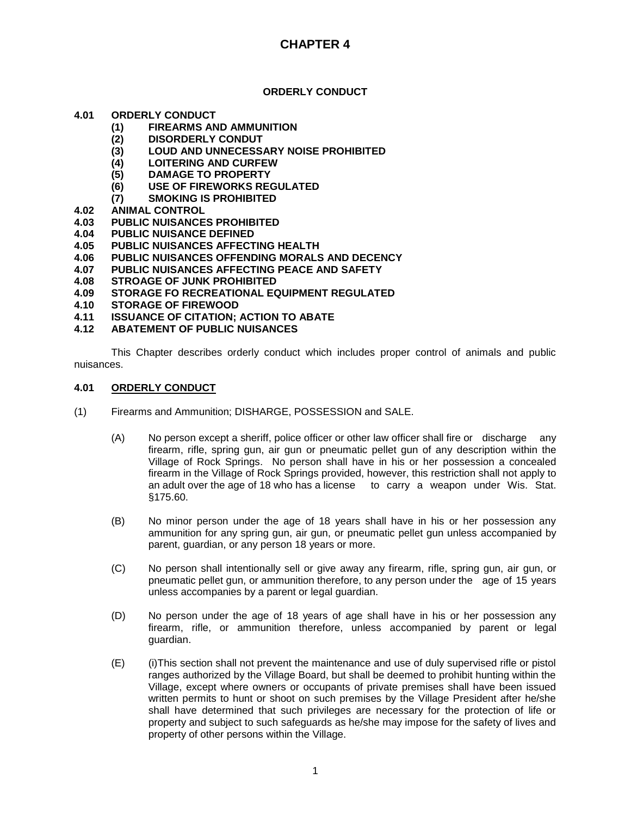## **ORDERLY CONDUCT**

## **4.01 ORDERLY CONDUCT**

- **(1) FIREARMS AND AMMUNITION**
- **(2) DISORDERLY CONDUT**
- **(3) LOUD AND UNNECESSARY NOISE PROHIBITED**
- **(4) LOITERING AND CURFEW**
- **(5) DAMAGE TO PROPERTY**
- **(6) USE OF FIREWORKS REGULATED**
- **(7) SMOKING IS PROHIBITED**
- 
- **4.02 ANIMAL CONTROL 4.03 PUBLIC NUISANCES PROHIBITED**
- **4.04 PUBLIC NUISANCE DEFINED**
- **4.05 PUBLIC NUISANCES AFFECTING HEALTH**
- **4.06 PUBLIC NUISANCES OFFENDING MORALS AND DECENCY**
- **4.07 PUBLIC NUISANCES AFFECTING PEACE AND SAFETY**
- **4.08 STROAGE OF JUNK PROHIBITED**
- **4.09 STORAGE FO RECREATIONAL EQUIPMENT REGULATED**
- **4.10 STORAGE OF FIREWOOD**
- **4.11 ISSUANCE OF CITATION; ACTION TO ABATE**
- **4.12 ABATEMENT OF PUBLIC NUISANCES**

This Chapter describes orderly conduct which includes proper control of animals and public nuisances.

### **4.01 ORDERLY CONDUCT**

- (1) Firearms and Ammunition; DISHARGE, POSSESSION and SALE.
	- (A) No person except a sheriff, police officer or other law officer shall fire or discharge any firearm, rifle, spring gun, air gun or pneumatic pellet gun of any description within the Village of Rock Springs. No person shall have in his or her possession a concealed firearm in the Village of Rock Springs provided, however, this restriction shall not apply to an adult over the age of 18 who has a license to carry a weapon under Wis. Stat. §175.60.
	- (B) No minor person under the age of 18 years shall have in his or her possession any ammunition for any spring gun, air gun, or pneumatic pellet gun unless accompanied by parent, guardian, or any person 18 years or more.
	- (C) No person shall intentionally sell or give away any firearm, rifle, spring gun, air gun, or pneumatic pellet gun, or ammunition therefore, to any person under the age of 15 years unless accompanies by a parent or legal guardian.
	- (D) No person under the age of 18 years of age shall have in his or her possession any firearm, rifle, or ammunition therefore, unless accompanied by parent or legal guardian.
	- (E) (i)This section shall not prevent the maintenance and use of duly supervised rifle or pistol ranges authorized by the Village Board, but shall be deemed to prohibit hunting within the Village, except where owners or occupants of private premises shall have been issued written permits to hunt or shoot on such premises by the Village President after he/she shall have determined that such privileges are necessary for the protection of life or property and subject to such safeguards as he/she may impose for the safety of lives and property of other persons within the Village.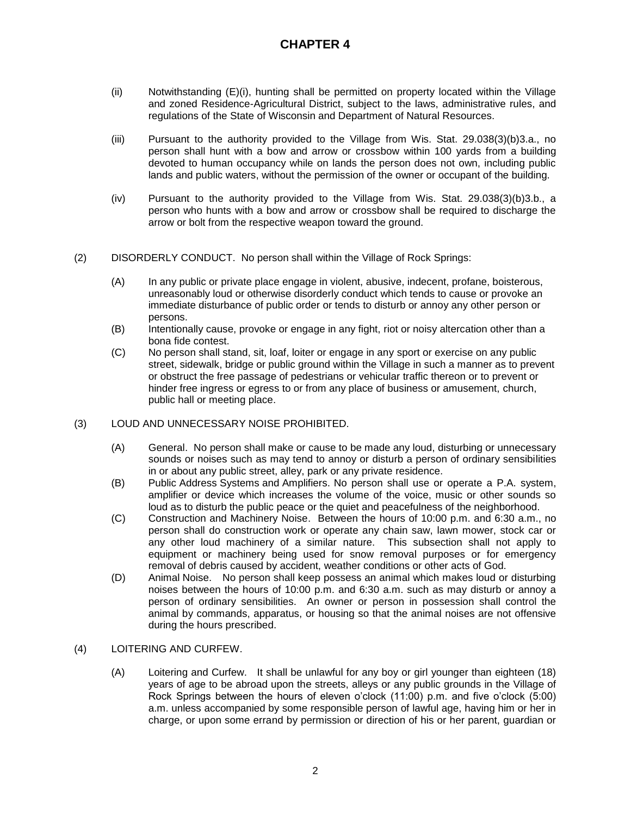- $(i)$  Notwithstanding  $(E)(i)$ , hunting shall be permitted on property located within the Village and zoned Residence-Agricultural District, subject to the laws, administrative rules, and regulations of the State of Wisconsin and Department of Natural Resources.
- (iii) Pursuant to the authority provided to the Village from Wis. Stat. 29.038(3)(b)3.a., no person shall hunt with a bow and arrow or crossbow within 100 yards from a building devoted to human occupancy while on lands the person does not own, including public lands and public waters, without the permission of the owner or occupant of the building.
- (iv) Pursuant to the authority provided to the Village from Wis. Stat. 29.038(3)(b)3.b., a person who hunts with a bow and arrow or crossbow shall be required to discharge the arrow or bolt from the respective weapon toward the ground.
- (2) DISORDERLY CONDUCT. No person shall within the Village of Rock Springs:
	- (A) In any public or private place engage in violent, abusive, indecent, profane, boisterous, unreasonably loud or otherwise disorderly conduct which tends to cause or provoke an immediate disturbance of public order or tends to disturb or annoy any other person or persons.
	- (B) Intentionally cause, provoke or engage in any fight, riot or noisy altercation other than a bona fide contest.
	- (C) No person shall stand, sit, loaf, loiter or engage in any sport or exercise on any public street, sidewalk, bridge or public ground within the Village in such a manner as to prevent or obstruct the free passage of pedestrians or vehicular traffic thereon or to prevent or hinder free ingress or egress to or from any place of business or amusement, church, public hall or meeting place.

#### (3) LOUD AND UNNECESSARY NOISE PROHIBITED.

- (A) General. No person shall make or cause to be made any loud, disturbing or unnecessary sounds or noises such as may tend to annoy or disturb a person of ordinary sensibilities in or about any public street, alley, park or any private residence.
- (B) Public Address Systems and Amplifiers. No person shall use or operate a P.A. system, amplifier or device which increases the volume of the voice, music or other sounds so loud as to disturb the public peace or the quiet and peacefulness of the neighborhood.
- (C) Construction and Machinery Noise. Between the hours of 10:00 p.m. and 6:30 a.m., no person shall do construction work or operate any chain saw, lawn mower, stock car or any other loud machinery of a similar nature. This subsection shall not apply to equipment or machinery being used for snow removal purposes or for emergency removal of debris caused by accident, weather conditions or other acts of God.
- (D) Animal Noise. No person shall keep possess an animal which makes loud or disturbing noises between the hours of 10:00 p.m. and 6:30 a.m. such as may disturb or annoy a person of ordinary sensibilities. An owner or person in possession shall control the animal by commands, apparatus, or housing so that the animal noises are not offensive during the hours prescribed.

## (4) LOITERING AND CURFEW.

(A) Loitering and Curfew. It shall be unlawful for any boy or girl younger than eighteen (18) years of age to be abroad upon the streets, alleys or any public grounds in the Village of Rock Springs between the hours of eleven o'clock (11:00) p.m. and five o'clock (5:00) a.m. unless accompanied by some responsible person of lawful age, having him or her in charge, or upon some errand by permission or direction of his or her parent, guardian or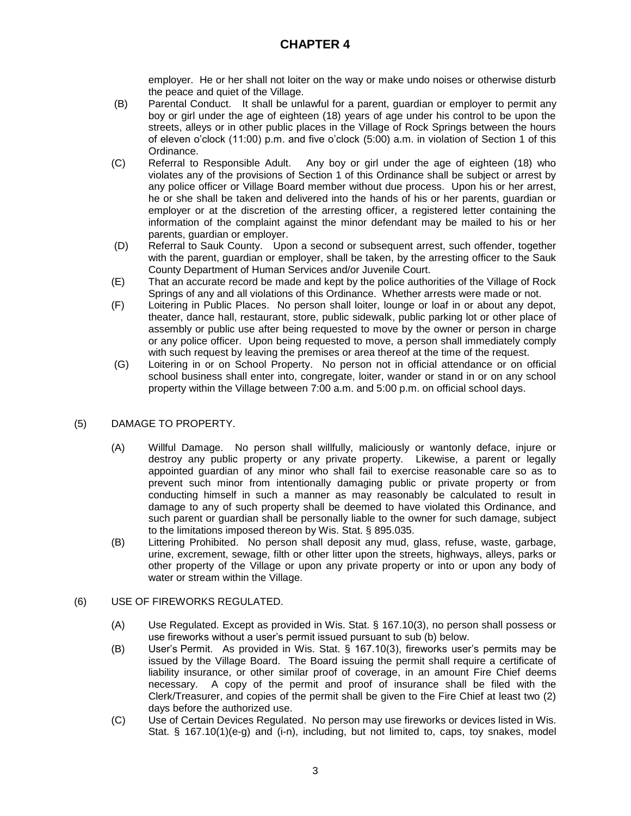employer. He or her shall not loiter on the way or make undo noises or otherwise disturb the peace and quiet of the Village.

- (B) Parental Conduct. It shall be unlawful for a parent, guardian or employer to permit any boy or girl under the age of eighteen (18) years of age under his control to be upon the streets, alleys or in other public places in the Village of Rock Springs between the hours of eleven o'clock (11:00) p.m. and five o'clock (5:00) a.m. in violation of Section 1 of this Ordinance.
- (C) Referral to Responsible Adult. Any boy or girl under the age of eighteen (18) who violates any of the provisions of Section 1 of this Ordinance shall be subject or arrest by any police officer or Village Board member without due process. Upon his or her arrest, he or she shall be taken and delivered into the hands of his or her parents, guardian or employer or at the discretion of the arresting officer, a registered letter containing the information of the complaint against the minor defendant may be mailed to his or her parents, guardian or employer.
- (D) Referral to Sauk County. Upon a second or subsequent arrest, such offender, together with the parent, guardian or employer, shall be taken, by the arresting officer to the Sauk County Department of Human Services and/or Juvenile Court.
- (E) That an accurate record be made and kept by the police authorities of the Village of Rock Springs of any and all violations of this Ordinance. Whether arrests were made or not.
- (F) Loitering in Public Places. No person shall loiter, lounge or loaf in or about any depot, theater, dance hall, restaurant, store, public sidewalk, public parking lot or other place of assembly or public use after being requested to move by the owner or person in charge or any police officer. Upon being requested to move, a person shall immediately comply with such request by leaving the premises or area thereof at the time of the request.
- (G) Loitering in or on School Property. No person not in official attendance or on official school business shall enter into, congregate, loiter, wander or stand in or on any school property within the Village between 7:00 a.m. and 5:00 p.m. on official school days.

## (5) DAMAGE TO PROPERTY.

- (A) Willful Damage. No person shall willfully, maliciously or wantonly deface, injure or destroy any public property or any private property. Likewise, a parent or legally appointed guardian of any minor who shall fail to exercise reasonable care so as to prevent such minor from intentionally damaging public or private property or from conducting himself in such a manner as may reasonably be calculated to result in damage to any of such property shall be deemed to have violated this Ordinance, and such parent or guardian shall be personally liable to the owner for such damage, subject to the limitations imposed thereon by Wis. Stat. § 895.035.
- (B) Littering Prohibited. No person shall deposit any mud, glass, refuse, waste, garbage, urine, excrement, sewage, filth or other litter upon the streets, highways, alleys, parks or other property of the Village or upon any private property or into or upon any body of water or stream within the Village.
- (6) USE OF FIREWORKS REGULATED.
	- (A) Use Regulated. Except as provided in Wis. Stat. § 167.10(3), no person shall possess or use fireworks without a user's permit issued pursuant to sub (b) below.
	- (B) User's Permit. As provided in Wis. Stat. § 167.10(3), fireworks user's permits may be issued by the Village Board. The Board issuing the permit shall require a certificate of liability insurance, or other similar proof of coverage, in an amount Fire Chief deems necessary. A copy of the permit and proof of insurance shall be filed with the Clerk/Treasurer, and copies of the permit shall be given to the Fire Chief at least two (2) days before the authorized use.
	- (C) Use of Certain Devices Regulated. No person may use fireworks or devices listed in Wis. Stat. § 167.10(1)(e-g) and (i-n), including, but not limited to, caps, toy snakes, model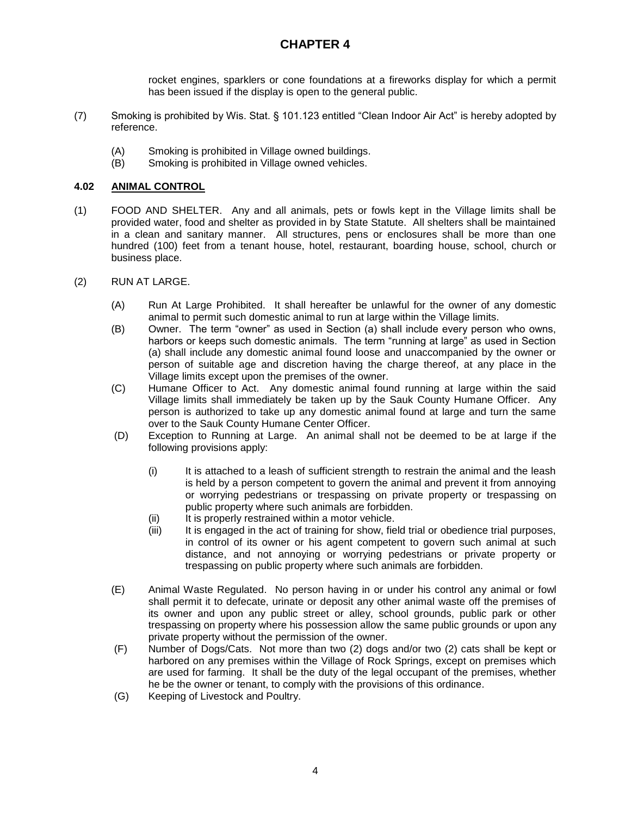rocket engines, sparklers or cone foundations at a fireworks display for which a permit has been issued if the display is open to the general public.

- (7) Smoking is prohibited by Wis. Stat. § 101.123 entitled "Clean Indoor Air Act" is hereby adopted by reference.
	- (A) Smoking is prohibited in Village owned buildings.
	- (B) Smoking is prohibited in Village owned vehicles.

## **4.02 ANIMAL CONTROL**

- (1) FOOD AND SHELTER. Any and all animals, pets or fowls kept in the Village limits shall be provided water, food and shelter as provided in by State Statute. All shelters shall be maintained in a clean and sanitary manner. All structures, pens or enclosures shall be more than one hundred (100) feet from a tenant house, hotel, restaurant, boarding house, school, church or business place.
- (2) RUN AT LARGE.
	- (A) Run At Large Prohibited. It shall hereafter be unlawful for the owner of any domestic animal to permit such domestic animal to run at large within the Village limits.
	- (B) Owner. The term "owner" as used in Section (a) shall include every person who owns, harbors or keeps such domestic animals. The term "running at large" as used in Section (a) shall include any domestic animal found loose and unaccompanied by the owner or person of suitable age and discretion having the charge thereof, at any place in the Village limits except upon the premises of the owner.
	- (C) Humane Officer to Act. Any domestic animal found running at large within the said Village limits shall immediately be taken up by the Sauk County Humane Officer. Any person is authorized to take up any domestic animal found at large and turn the same over to the Sauk County Humane Center Officer.
	- (D) Exception to Running at Large. An animal shall not be deemed to be at large if the following provisions apply:
		- (i) It is attached to a leash of sufficient strength to restrain the animal and the leash is held by a person competent to govern the animal and prevent it from annoying or worrying pedestrians or trespassing on private property or trespassing on public property where such animals are forbidden.
		- (ii) It is properly restrained within a motor vehicle.
		- (iii) It is engaged in the act of training for show, field trial or obedience trial purposes, in control of its owner or his agent competent to govern such animal at such distance, and not annoying or worrying pedestrians or private property or trespassing on public property where such animals are forbidden.
	- (E) Animal Waste Regulated. No person having in or under his control any animal or fowl shall permit it to defecate, urinate or deposit any other animal waste off the premises of its owner and upon any public street or alley, school grounds, public park or other trespassing on property where his possession allow the same public grounds or upon any private property without the permission of the owner.
	- (F) Number of Dogs/Cats. Not more than two (2) dogs and/or two (2) cats shall be kept or harbored on any premises within the Village of Rock Springs, except on premises which are used for farming. It shall be the duty of the legal occupant of the premises, whether he be the owner or tenant, to comply with the provisions of this ordinance.
	- (G) Keeping of Livestock and Poultry.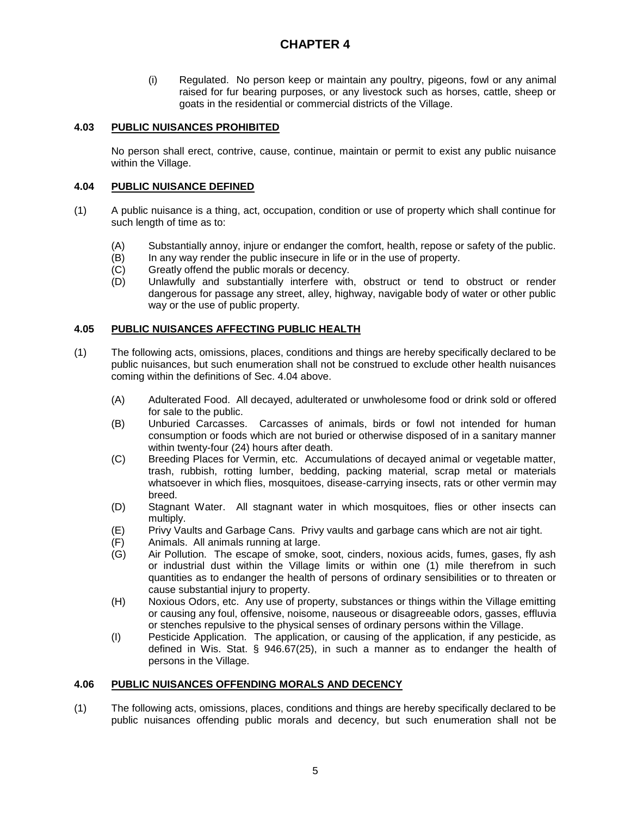(i) Regulated. No person keep or maintain any poultry, pigeons, fowl or any animal raised for fur bearing purposes, or any livestock such as horses, cattle, sheep or goats in the residential or commercial districts of the Village.

## **4.03 PUBLIC NUISANCES PROHIBITED**

No person shall erect, contrive, cause, continue, maintain or permit to exist any public nuisance within the Village.

#### **4.04 PUBLIC NUISANCE DEFINED**

- (1) A public nuisance is a thing, act, occupation, condition or use of property which shall continue for such length of time as to:
	- (A) Substantially annoy, injure or endanger the comfort, health, repose or safety of the public.
	- (B) In any way render the public insecure in life or in the use of property.
	- (C) Greatly offend the public morals or decency.
	- (D) Unlawfully and substantially interfere with, obstruct or tend to obstruct or render dangerous for passage any street, alley, highway, navigable body of water or other public way or the use of public property.

### **4.05 PUBLIC NUISANCES AFFECTING PUBLIC HEALTH**

- (1) The following acts, omissions, places, conditions and things are hereby specifically declared to be public nuisances, but such enumeration shall not be construed to exclude other health nuisances coming within the definitions of Sec. 4.04 above.
	- (A) Adulterated Food. All decayed, adulterated or unwholesome food or drink sold or offered for sale to the public.
	- (B) Unburied Carcasses. Carcasses of animals, birds or fowl not intended for human consumption or foods which are not buried or otherwise disposed of in a sanitary manner within twenty-four (24) hours after death.
	- (C) Breeding Places for Vermin, etc. Accumulations of decayed animal or vegetable matter, trash, rubbish, rotting lumber, bedding, packing material, scrap metal or materials whatsoever in which flies, mosquitoes, disease-carrying insects, rats or other vermin may breed.
	- (D) Stagnant Water. All stagnant water in which mosquitoes, flies or other insects can multiply.
	- (E) Privy Vaults and Garbage Cans. Privy vaults and garbage cans which are not air tight.
	- (F) Animals. All animals running at large.
	- (G) Air Pollution. The escape of smoke, soot, cinders, noxious acids, fumes, gases, fly ash or industrial dust within the Village limits or within one (1) mile therefrom in such quantities as to endanger the health of persons of ordinary sensibilities or to threaten or cause substantial injury to property.
	- (H) Noxious Odors, etc. Any use of property, substances or things within the Village emitting or causing any foul, offensive, noisome, nauseous or disagreeable odors, gasses, effluvia or stenches repulsive to the physical senses of ordinary persons within the Village.
	- (I) Pesticide Application. The application, or causing of the application, if any pesticide, as defined in Wis. Stat. § 946.67(25), in such a manner as to endanger the health of persons in the Village.

#### **4.06 PUBLIC NUISANCES OFFENDING MORALS AND DECENCY**

(1) The following acts, omissions, places, conditions and things are hereby specifically declared to be public nuisances offending public morals and decency, but such enumeration shall not be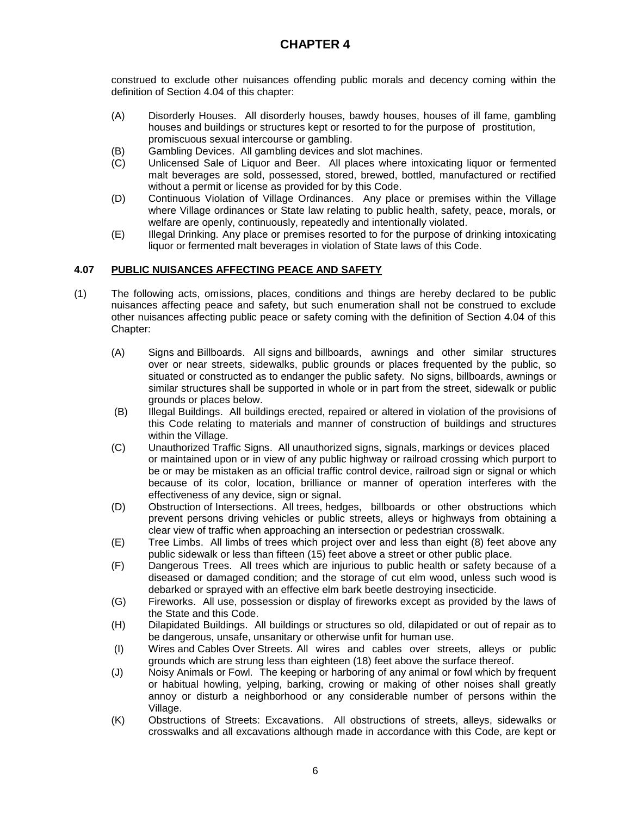construed to exclude other nuisances offending public morals and decency coming within the definition of Section 4.04 of this chapter:

- (A) Disorderly Houses. All disorderly houses, bawdy houses, houses of ill fame, gambling houses and buildings or structures kept or resorted to for the purpose of prostitution, promiscuous sexual intercourse or gambling.
- (B) Gambling Devices. All gambling devices and slot machines.
- (C) Unlicensed Sale of Liquor and Beer. All places where intoxicating liquor or fermented malt beverages are sold, possessed, stored, brewed, bottled, manufactured or rectified without a permit or license as provided for by this Code.
- (D) Continuous Violation of Village Ordinances. Any place or premises within the Village where Village ordinances or State law relating to public health, safety, peace, morals, or welfare are openly, continuously, repeatedly and intentionally violated.
- (E) Illegal Drinking. Any place or premises resorted to for the purpose of drinking intoxicating liquor or fermented malt beverages in violation of State laws of this Code.

### **4.07 PUBLIC NUISANCES AFFECTING PEACE AND SAFETY**

- (1) The following acts, omissions, places, conditions and things are hereby declared to be public nuisances affecting peace and safety, but such enumeration shall not be construed to exclude other nuisances affecting public peace or safety coming with the definition of Section 4.04 of this Chapter:
	- (A) Signs and Billboards. All signs and billboards, awnings and other similar structures over or near streets, sidewalks, public grounds or places frequented by the public, so situated or constructed as to endanger the public safety. No signs, billboards, awnings or similar structures shall be supported in whole or in part from the street, sidewalk or public grounds or places below.
	- (B) Illegal Buildings. All buildings erected, repaired or altered in violation of the provisions of this Code relating to materials and manner of construction of buildings and structures within the Village.
	- (C) Unauthorized Traffic Signs. All unauthorized signs, signals, markings or devices placed or maintained upon or in view of any public highway or railroad crossing which purport to be or may be mistaken as an official traffic control device, railroad sign or signal or which because of its color, location, brilliance or manner of operation interferes with the effectiveness of any device, sign or signal.
	- (D) Obstruction of Intersections. All trees, hedges, billboards or other obstructions which prevent persons driving vehicles or public streets, alleys or highways from obtaining a clear view of traffic when approaching an intersection or pedestrian crosswalk.
	- (E) Tree Limbs. All limbs of trees which project over and less than eight (8) feet above any public sidewalk or less than fifteen (15) feet above a street or other public place.
	- (F) Dangerous Trees. All trees which are injurious to public health or safety because of a diseased or damaged condition; and the storage of cut elm wood, unless such wood is debarked or sprayed with an effective elm bark beetle destroying insecticide.
	- (G) Fireworks. All use, possession or display of fireworks except as provided by the laws of the State and this Code.
	- (H) Dilapidated Buildings. All buildings or structures so old, dilapidated or out of repair as to be dangerous, unsafe, unsanitary or otherwise unfit for human use.
	- (I) Wires and Cables Over Streets. All wires and cables over streets, alleys or public grounds which are strung less than eighteen (18) feet above the surface thereof.
	- (J) Noisy Animals or Fowl. The keeping or harboring of any animal or fowl which by frequent or habitual howling, yelping, barking, crowing or making of other noises shall greatly annoy or disturb a neighborhood or any considerable number of persons within the Village.
	- (K) Obstructions of Streets: Excavations. All obstructions of streets, alleys, sidewalks or crosswalks and all excavations although made in accordance with this Code, are kept or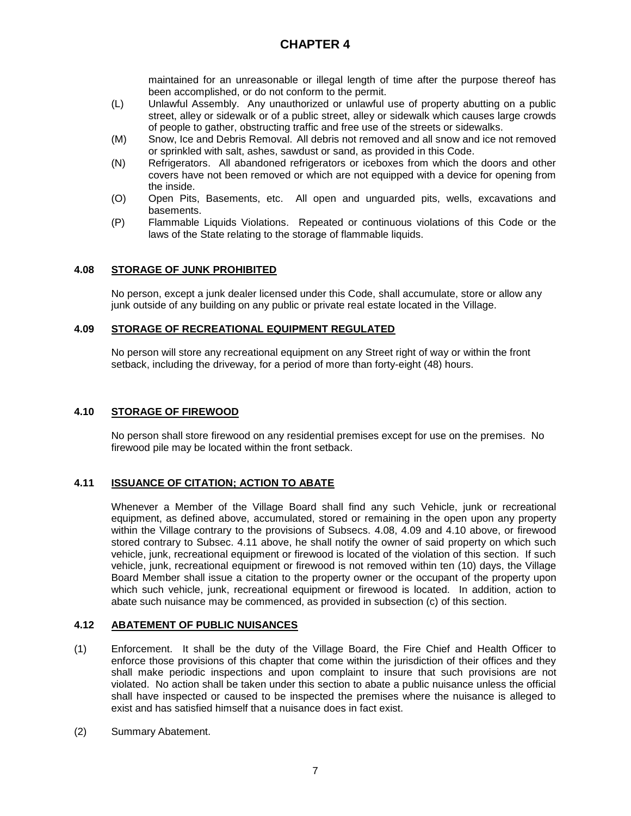maintained for an unreasonable or illegal length of time after the purpose thereof has been accomplished, or do not conform to the permit.

- (L) Unlawful Assembly. Any unauthorized or unlawful use of property abutting on a public street, alley or sidewalk or of a public street, alley or sidewalk which causes large crowds of people to gather, obstructing traffic and free use of the streets or sidewalks.
- (M) Snow, Ice and Debris Removal. All debris not removed and all snow and ice not removed or sprinkled with salt, ashes, sawdust or sand, as provided in this Code.
- (N) Refrigerators. All abandoned refrigerators or iceboxes from which the doors and other covers have not been removed or which are not equipped with a device for opening from the inside.
- (O) Open Pits, Basements, etc. All open and unguarded pits, wells, excavations and basements.
- (P) Flammable Liquids Violations. Repeated or continuous violations of this Code or the laws of the State relating to the storage of flammable liquids.

### **4.08 STORAGE OF JUNK PROHIBITED**

No person, except a junk dealer licensed under this Code, shall accumulate, store or allow any junk outside of any building on any public or private real estate located in the Village.

### **4.09 STORAGE OF RECREATIONAL EQUIPMENT REGULATED**

No person will store any recreational equipment on any Street right of way or within the front setback, including the driveway, for a period of more than forty-eight (48) hours.

### **4.10 STORAGE OF FIREWOOD**

No person shall store firewood on any residential premises except for use on the premises. No firewood pile may be located within the front setback.

#### **4.11 ISSUANCE OF CITATION; ACTION TO ABATE**

Whenever a Member of the Village Board shall find any such Vehicle, junk or recreational equipment, as defined above, accumulated, stored or remaining in the open upon any property within the Village contrary to the provisions of Subsecs. 4.08, 4.09 and 4.10 above, or firewood stored contrary to Subsec. 4.11 above, he shall notify the owner of said property on which such vehicle, junk, recreational equipment or firewood is located of the violation of this section. If such vehicle, junk, recreational equipment or firewood is not removed within ten (10) days, the Village Board Member shall issue a citation to the property owner or the occupant of the property upon which such vehicle, junk, recreational equipment or firewood is located. In addition, action to abate such nuisance may be commenced, as provided in subsection (c) of this section.

#### **4.12 ABATEMENT OF PUBLIC NUISANCES**

- (1) Enforcement. It shall be the duty of the Village Board, the Fire Chief and Health Officer to enforce those provisions of this chapter that come within the jurisdiction of their offices and they shall make periodic inspections and upon complaint to insure that such provisions are not violated. No action shall be taken under this section to abate a public nuisance unless the official shall have inspected or caused to be inspected the premises where the nuisance is alleged to exist and has satisfied himself that a nuisance does in fact exist.
- (2) Summary Abatement.